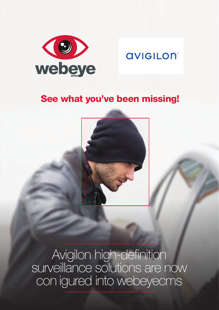

# **AVIGILON**

# See what you've been missing!



Avigilon high-definition surveillance solutions are now con igured into webeyecms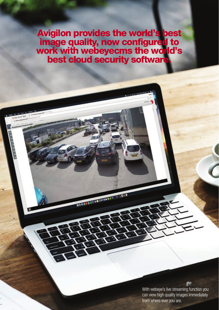Avigilon provides the world's best image quality, now configured to work with webeyecms the world's best cloud security software.

FROT BEISERRY

With webeye's live streaming function you can view high quality images immediately from where ever you are.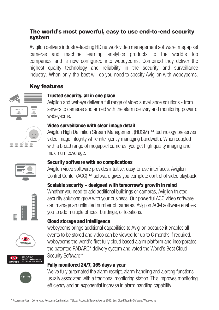# The world's most powerful, easy to use end-to-end security system

Avigilon delivers industry-leading HD network video management software, megapixel cameras and machine learning analytics products to the world's top companies and is now configured into webeyecms. Combined they deliver the highest quality technology and reliability in the security and surveillance industry. When only the best will do you need to specify Avigilon with webeyecms.

# Key features

# Trusted security, all in one place

Avigilon and webeye deliver a full range of video surveillance solutions - from servers to cameras and armed with the alarm delivery and monitoring power of webeyecms.

## Video surveillance with clear image detail

Avigilon High Definition Stream Management (HDSM)™ technology preserves video image integrity while intelligently managing bandwidth. When coupled with a broad range of megapixel cameras, you get high quality imaging and maximum coverage.

## Security software with no complications

you to add multiple offices, buildings, or locations.

Avigilon video software provides intuitive, easy-to-use interfaces. Avigilon Control Center (ACC)™ software gives you complete control of video playback.

Scalable security – designed with tomorrow's growth in mind

Whether you need to add additional buildings or cameras, Avigilon trusted security solutions grow with your business. Our powerful ACC video software can manage an unlimited number of cameras. Avigilon ACM software enables













webeyecms brings additional capabilities to Avigilon because it enables all events to be stored and video can be viewed for up to 6 months if required. webeyecms the world's first fully cloud based alarm platform and incorporates the patented PADARC\* delivery system and voted the World's Best Cloud Security Software\*\*

# Fully monitored 24/7, 365 days a year

Cloud storage and intelligence

We've fully automated the alarm receipt, alarm handling and alerting functions usually associated with a traditional monitoring station. This improves monitoring efficiency and an exponential increase in alarm handling capability.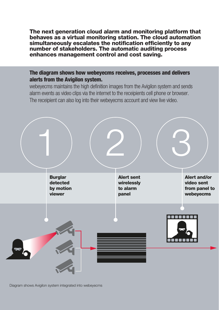The next generation cloud alarm and monitoring platform that behaves as a virtual monitoring station. The cloud automation simultaneously escalates the notification efficiently to any number of stakeholders. The automatic auditing process enhances management control and cost saving.

# The diagram shows how webeyecms receives, processes and delivers alerts from the Avigilon system.

webeyecms maintains the high definition images from the Avigilon system and sends alarm events as video clips via the internet to the receipients cell phone or browser. The receipient can also log into their webeyecms account and view live video.



Diagram shows Avigilon system integrated into webeyecms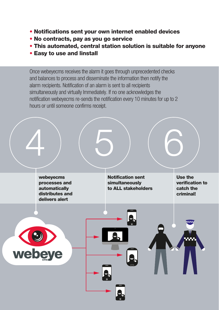- Notifications sent your own internet enabled devices
- No contracts, pay as you go service
- This automated, central station solution is suitable for anyone
- Easy to use and linstall

Once webeyecms receives the alarm it goes through unprecedented checks and balances to process and disseminate the information then notify the alarm recipients. Notification of an alarm is sent to all recipients simultaneously and virtually Immediately. If no one acknowledges the notification webeyecms re-sends the notification every 10 minutes for up to 2 hours or until someone confirms receipt.

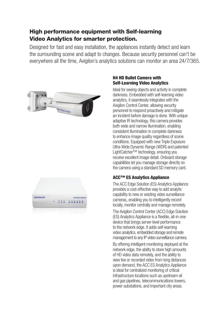# High performance equipment with Self-learning Video Analytics for smarter protection.

Designed for fast and easy installation, the appliances instantly detect and learn the surrounding scene and adapt to changes. Because security personnel can't be everywhere all the time, Avigilon's analytics solutions can monitor an area 24/7/365.





#### H4 HD Bullet Camera with Self-Learning Video Analytics

Ideal for seeing objects and activity in complete darkness. Embedded with self-learning video analytics, it seamlessly integrates with the Avigilon Control Center, allowing security personnel to respond proactively and mitigate an incident before damage is done. With unique adaptive IR technology, this camera provides both wide and narrow illumination, enabling consistent illumination in complete darkness to enhance image quality regardless of scene conditions. Equipped with new Triple Exposure Ultra-Wide Dynamic Range (WDR) and patented LightCatcher™ technology, ensuring you receive excellent image detail. Onboard storage capabilities let you manage storage directly on the camera using a standard SD memory card.

### ACC™ ES Analytics Appliance

The ACC Edge Solution (ES) Analytics Appliance provides a cost-effective way to add analytic capability to new or existing video surveillance cameras, enabling you to intelligently record locally, monitor centrally and manage remotely.

The Avigilon Control Center (ACC) Edge Solution (ES) Analytics Appliance is a flexible, all-in-one device that brings server-level performance to the network edge. It adds self-learning video analytics, embedded storage and remote management to any IP video surveillance camera.

By offering intelligent monitoring deployed at the network edge, the ability to store high amounts of HD video data remotely, and the ability to view live or recorded video from long distances upon demand, the ACC ES Analytics Appliance is ideal for centralized monitoring of critical infrastructure locations such as upstream oil and gas pipelines, telecommunications towers, power substations, and important city areas.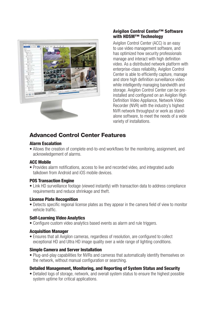

#### Avigilon Control Center™ Software with HDSM™ Technology

Avigilon Control Center (ACC) is an easy to use video management software, and has optimized how security professionals manage and interact with high definition video. As a distributed network platform with enterprise-class reliability, Avigilon Control Center is able to efficiently capture, manage and store high definition surveillance video while intelligently managing bandwidth and storage. Avigilon Control Center can be preinstalled and configured on an Avigilon High Definition Video Appliance, Network Video Recorder (NVR) with the industry's highest NVR network throughput or work as standalone software, to meet the needs of a wide variety of installations.

# Advanced Control Center Features

#### Alarm Escalation

• Allows the creation of complete end-to-end workflows for the monitoring, assignment, and acknowledgement of alarms.

#### ACC Mobile

• Provides alarm notifications, access to live and recorded video, and integrated audio talkdown from Android and iOS mobile devices.

#### POS Transaction Engine

• Link HD surveillance footage (viewed instantly) with transaction data to address compliance requirements and reduce shrinkage and theft.

#### License Plate Recognition

• Detects specific regional license plates as they appear in the camera field of view to monitor vehicle traffic.

#### Self-Learning Video Analytics

• Configure custom video analytics based events as alarm and rule triggers.

#### Acquisition Manager

• Ensures that all Avigilon cameras, regardless of resolution, are configured to collect exceptional HD and Ultra HD image quality over a wide range of lighting conditions.

#### Simple Camera and Server Installation

• Plug-and-play capabilities for NVRs and cameras that automatically identify themselves on the network, without manual configuration or searching.

#### Detailed Management, Monitoring, and Reporting of System Status and Security

• Detailed logs of storage, network, and overall system status to ensure the highest possible system uptime for critical applications.